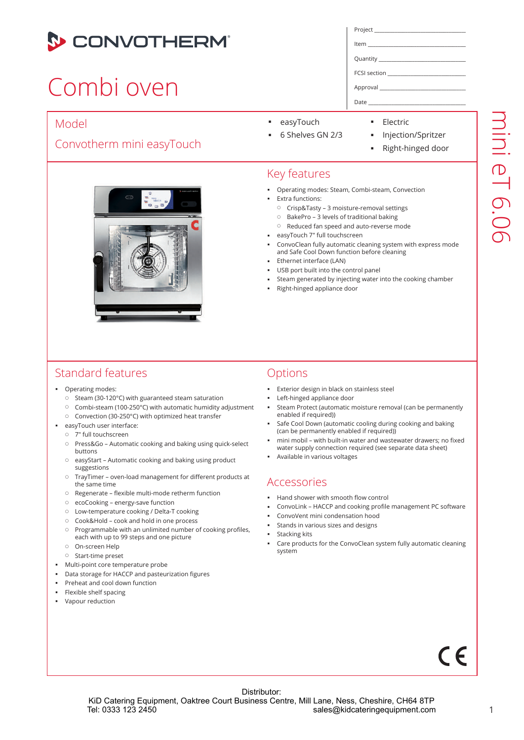

## Combi oven

#### Model

#### Convotherm mini easyTouch



| Project |  |
|---------|--|
|         |  |

Item \_\_\_\_\_\_\_\_\_\_\_\_\_\_\_\_\_\_\_\_\_\_\_\_\_\_\_\_\_\_\_\_\_\_\_\_\_\_\_\_

Quantity

FCSI section \_\_\_\_\_\_\_\_\_\_\_\_\_\_\_\_\_\_\_\_\_\_\_\_\_\_\_\_\_\_\_\_\_\_

Approval \_\_\_\_\_\_\_\_\_\_\_\_\_\_\_\_\_\_\_\_\_\_\_\_\_\_\_\_\_\_\_\_\_\_\_\_\_

Date

- easyTouch
- **Electric**
- 6 Shelves GN 2/3
- **Injection/Spritzer**
- Right-hinged door

#### Key features

- **Derating modes: Steam, Combi-steam, Convection**
- Extra functions:
- Crisp&Tasty 3 moisture-removal settings
- BakePro 3 levels of traditional baking
- Reduced fan speed and auto-reverse mode
- easyTouch 7" full touchscreen
- ConvoClean fully automatic cleaning system with express mode and Safe Cool Down function before cleaning
- Ethernet interface (LAN)
- USB port built into the control panel
- Steam generated by injecting water into the cooking chamber
- Right-hinged appliance door

#### Standard features

- **•** Operating modes:
	- $\circ$  Steam (30-120°C) with guaranteed steam saturation
	- Combi-steam (100-250°C) with automatic humidity adjustment
	- Convection (30-250°C) with optimized heat transfer
- easyTouch user interface:
	- 7" full touchscreen
	- Press&Go Automatic cooking and baking using quick-select buttons
	- easyStart Automatic cooking and baking using product suggestions
	- TrayTimer oven-load management for different products at the same time
	- Regenerate flexible multi-mode retherm function
	- ecoCooking energy-save function
	- Low-temperature cooking / Delta-T cooking
	- Cook&Hold cook and hold in one process
	- $\circ$  Programmable with an unlimited number of cooking profiles, each with up to 99 steps and one picture
	- On-screen Help
	- Start-time preset
- **Multi-point core temperature probe**
- Data storage for HACCP and pasteurization figures
- Preheat and cool down function
- Flexible shelf spacing
- Vapour reduction

#### **Options**

- Exterior design in black on stainless steel
- Left-hinged appliance door
- Steam Protect (automatic moisture removal (can be permanently enabled if required))
- Safe Cool Down (automatic cooling during cooking and baking (can be permanently enabled if required))
- mini mobil with built-in water and wastewater drawers; no fixed water supply connection required (see separate data sheet)
- Available in various voltages

#### Accessories

- Hand shower with smooth flow control
- ConvoLink HACCP and cooking profile management PC software
- ConvoVent mini condensation hood
- Stands in various sizes and designs
- **stacking kits**
- Care products for the ConvoClean system fully automatic cleaning system

# $\epsilon$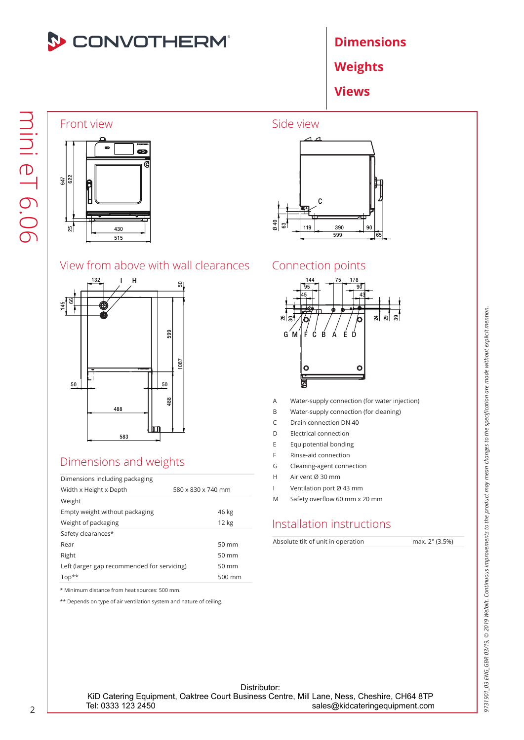

Weights

Views

### Front view



#### View from above with wall clearances



#### Dimensions and weights

| Dimensions including packaging              |                    |
|---------------------------------------------|--------------------|
| Width x Height x Depth                      | 580 x 830 x 740 mm |
| Weight                                      |                    |
| Empty weight without packaging              | 46 kg              |
| Weight of packaging                         | 12 kg              |
| Safety clearances*                          |                    |
| Rear                                        | $50 \text{ mm}$    |
| Right                                       | $50 \text{ mm}$    |
| Left (larger gap recommended for servicing) | $50 \text{ mm}$    |
| $Top**$                                     | $500 \text{ mm}$   |

\* Minimum distance from heat sources: 500 mm.

\*\* Depends on type of air ventilation system and nature of ceiling.



#### Connection points



- A Water-supply connection (for water injection)
- B Water-supply connection (for cleaning)
- C Drain connection DN 40
- D Electrical connection
- E Equipotential bonding
- F Rinse-aid connection
- G Cleaning-agent connection
- H Air vent Ø 30 mm
- I Ventilation port Ø 43 mm
- M Safety overflow 60 mm x 20 mm

#### Installation instructions

Absolute tilt of unit in operation max. 2° (3.5%)

Distributor: KiD Catering Equipment, Oaktree Court Business Centre, Mill Lane, Ness, Cheshire, CH64 8TP<br>sales@kidcateringequipment.com sales@kidcateringequipment.com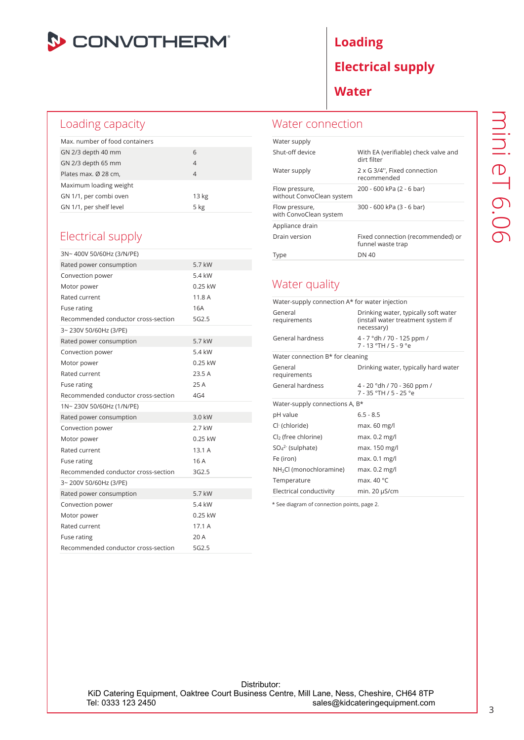

#### Loading capacity

| Max, number of food containers |                |
|--------------------------------|----------------|
| GN 2/3 depth 40 mm             | 6              |
| GN 2/3 depth 65 mm             | $\overline{4}$ |
| Plates max. Ø 28 cm,           | 4              |
| Maximum loading weight         |                |
| GN 1/1, per combi oven         | 13 kg          |
| GN 1/1, per shelf level        | 5 kg           |

#### Electrical supply

| 3N~400V 50/60Hz (3/N/PE)            |                   |
|-------------------------------------|-------------------|
| Rated power consumption             | 5.7 kW            |
| Convection power                    | 5.4 kW            |
| Motor power                         | $0.25$ kW         |
| Rated current                       | 11.8 A            |
| Fuse rating                         | 16A               |
| Recommended conductor cross-section | 5G <sub>2.5</sub> |
| 3~230V 50/60Hz (3/PE)               |                   |
| Rated power consumption             | 5.7 kW            |
| Convection power                    | 5.4 kW            |
| Motor power                         | $0.25$ kW         |
| Rated current                       | 23.5A             |
| Fuse rating                         | 25 A              |
| Recommended conductor cross-section | 4G4               |
| 1N~230V 50/60Hz (1/N/PE)            |                   |
| Rated power consumption             | 3.0 kW            |
| Convection power                    | 2.7 kW            |
| Motor power                         | 0.25 kW           |
| Rated current                       | 13.1A             |
| Fuse rating                         | 16 A              |
| Recommended conductor cross-section | 3G2.5             |
| 3~200V 50/60Hz (3/PE)               |                   |
| Rated power consumption             | 5.7 kW            |
| Convection power                    | 5.4 kW            |
| Motor power                         | $0.25$ kW         |
| Rated current                       | 17.1A             |
| Fuse rating                         | 20 A              |
| Recommended conductor cross-section | 5G2.5             |

### Loading Electrical supply

Water

#### Water connection

| Water supply                                |                                                        |
|---------------------------------------------|--------------------------------------------------------|
| Shut-off device                             | With EA (verifiable) check valve and<br>dirt filter    |
| Water supply                                | 2 x G 3/4", Fixed connection<br>recommended            |
| Flow pressure,<br>without ConvoClean system | 200 - 600 kPa (2 - 6 bar)                              |
| Flow pressure,<br>with ConvoClean system    | 300 - 600 kPa (3 - 6 bar)                              |
| Appliance drain                             |                                                        |
| Drain version                               | Fixed connection (recommended) or<br>funnel waste trap |
| Type                                        | DN 40                                                  |

#### Water quality

| Water-supply connection A* for water injection |                                                                                          |  |
|------------------------------------------------|------------------------------------------------------------------------------------------|--|
| General<br>requirements                        | Drinking water, typically soft water<br>(install water treatment system if<br>necessary) |  |
| General hardness                               | 4 - 7 °dh / 70 - 125 ppm /<br>$7 - 13$ °TH $/5 - 9$ °e                                   |  |
| Water connection B* for cleaning               |                                                                                          |  |
| General<br>requirements                        | Drinking water, typically hard water                                                     |  |
| General hardness                               | 4 - 20 °dh / 70 - 360 ppm /<br>7 - 35 °TH / 5 - 25 °e                                    |  |
|                                                |                                                                                          |  |
| Water-supply connections A, B*                 |                                                                                          |  |
| pH value                                       | $6.5 - 8.5$                                                                              |  |
| Cl <sup>-</sup> (chloride)                     | max. 60 mg/l                                                                             |  |
| Cl <sub>2</sub> (free chlorine)                | max. 0.2 mg/l                                                                            |  |
| $SO_4^2$ (sulphate)                            | max. 150 mg/l                                                                            |  |
| Fe (iron)                                      | max. 0.1 mg/l                                                                            |  |
| NH <sub>2</sub> Cl (monochloramine)            | max. $0.2 \text{ mg/l}$                                                                  |  |
| Temperature                                    | max. $40^{\circ}$ C                                                                      |  |

\* See diagram of connection points, page 2.

Distributor: KiD Catering Equipment, Oaktree Court Business Centre, Mill Lane, Ness, Cheshire, CH64 8TP<br>sales@kidcateringequipment.com sales@kidcateringequipment.com